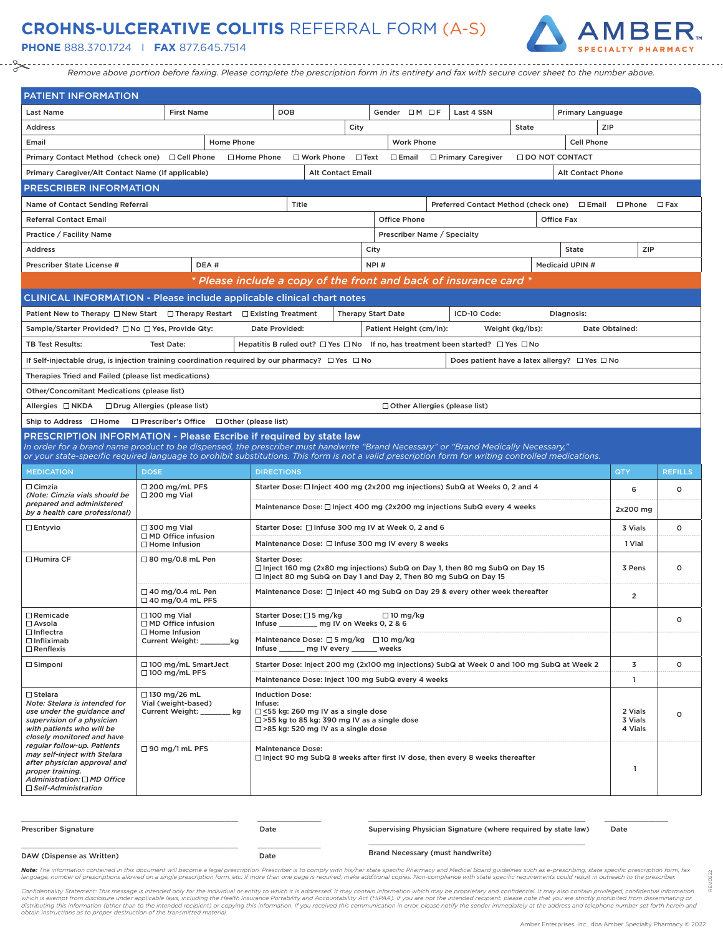## **CROHNS-ULCERATIVE COLITIS** REFERRAL FORM (A-S)

**PHONE** 888.370.1724 I **FAX** 877.645.7514



*Remove above portion before faxing. Please complete the prescription form in its entirety and fax with secure cover sheet to the number above.*

| <b>PATIENT INFORMATION</b>                                                                                                                                                                                                                                                               |                                                                            |                                                                                                                                                                                           |                                                    |                                      |  |                                                         |                  |                  |                                 |                |  |  |
|------------------------------------------------------------------------------------------------------------------------------------------------------------------------------------------------------------------------------------------------------------------------------------------|----------------------------------------------------------------------------|-------------------------------------------------------------------------------------------------------------------------------------------------------------------------------------------|----------------------------------------------------|--------------------------------------|--|---------------------------------------------------------|------------------|------------------|---------------------------------|----------------|--|--|
| <b>Last Name</b>                                                                                                                                                                                                                                                                         | <b>First Name</b>                                                          | <b>DOB</b>                                                                                                                                                                                |                                                    | Gender OM OF                         |  | Last 4 SSN                                              |                  | Primary Language |                                 |                |  |  |
| <b>Address</b>                                                                                                                                                                                                                                                                           |                                                                            |                                                                                                                                                                                           | City                                               |                                      |  |                                                         | State            |                  | ZIP                             |                |  |  |
| Email                                                                                                                                                                                                                                                                                    |                                                                            | <b>Home Phone</b><br><b>Work Phone</b><br>Cell Phone                                                                                                                                      |                                                    |                                      |  |                                                         |                  |                  |                                 |                |  |  |
| Primary Contact Method (check one) □ Cell Phone<br>□ Home Phone<br>$\Box$ Text<br><b>IDO NOT CONTACT</b><br>□ Work Phone<br>$\Box$ Email<br>□ Primary Caregiver                                                                                                                          |                                                                            |                                                                                                                                                                                           |                                                    |                                      |  |                                                         |                  |                  |                                 |                |  |  |
| Primary Caregiver/Alt Contact Name (If applicable)<br><b>Alt Contact Email</b><br><b>Alt Contact Phone</b>                                                                                                                                                                               |                                                                            |                                                                                                                                                                                           |                                                    |                                      |  |                                                         |                  |                  |                                 |                |  |  |
| <b>PRESCRIBER INFORMATION</b>                                                                                                                                                                                                                                                            |                                                                            |                                                                                                                                                                                           |                                                    |                                      |  |                                                         |                  |                  |                                 |                |  |  |
| Name of Contact Sending Referral                                                                                                                                                                                                                                                         |                                                                            | Title                                                                                                                                                                                     |                                                    |                                      |  | Preferred Contact Method (check one)                    |                  |                  | $\square$ Email $\square$ Phone | $\Box$ Fax     |  |  |
| <b>Referral Contact Email</b>                                                                                                                                                                                                                                                            |                                                                            |                                                                                                                                                                                           |                                                    | <b>Office Phone</b>                  |  |                                                         |                  | Office Fax       |                                 |                |  |  |
| Practice / Facility Name                                                                                                                                                                                                                                                                 |                                                                            | Prescriber Name / Specialty                                                                                                                                                               |                                                    |                                      |  |                                                         |                  |                  |                                 |                |  |  |
| <b>Address</b>                                                                                                                                                                                                                                                                           |                                                                            | City<br><b>State</b>                                                                                                                                                                      |                                                    |                                      |  |                                                         |                  | ZIP              |                                 |                |  |  |
| Prescriber State License #                                                                                                                                                                                                                                                               | DEA#                                                                       |                                                                                                                                                                                           |                                                    | NPI#                                 |  |                                                         |                  | Medicaid UPIN #  |                                 |                |  |  |
|                                                                                                                                                                                                                                                                                          |                                                                            | * Please include a copy of the front and back of insurance card *                                                                                                                         |                                                    |                                      |  |                                                         |                  |                  |                                 |                |  |  |
| <b>CLINICAL INFORMATION - Please include applicable clinical chart notes</b>                                                                                                                                                                                                             |                                                                            |                                                                                                                                                                                           |                                                    |                                      |  |                                                         |                  |                  |                                 |                |  |  |
| Patient New to Therapy $\Box$ New Start $\Box$ Therapy Restart $\Box$ Existing Treatment                                                                                                                                                                                                 |                                                                            |                                                                                                                                                                                           |                                                    | <b>Therapy Start Date</b>            |  | ICD-10 Code:                                            |                  | Dlagnosis:       |                                 |                |  |  |
| Sample/Starter Provided? □ No □ Yes, Provide Qty:                                                                                                                                                                                                                                        |                                                                            | Date Provided:                                                                                                                                                                            |                                                    | Patient Height (cm/in):              |  |                                                         | Weight (kg/lbs): |                  | Date Obtained:                  |                |  |  |
| <b>TB Test Results:</b>                                                                                                                                                                                                                                                                  | <b>Test Date:</b>                                                          | Hepatitis B ruled out? □ Yes □ No If no, has treatment been started? □ Yes □ No                                                                                                           |                                                    |                                      |  |                                                         |                  |                  |                                 |                |  |  |
| If Self-injectable drug, is injection training coordination required by our pharmacy? $\square$ Yes $\square$ No                                                                                                                                                                         |                                                                            |                                                                                                                                                                                           |                                                    |                                      |  | Does patient have a latex allergy? $\Box$ Yes $\Box$ No |                  |                  |                                 |                |  |  |
| Therapies Tried and Failed (please list medications)                                                                                                                                                                                                                                     |                                                                            |                                                                                                                                                                                           |                                                    |                                      |  |                                                         |                  |                  |                                 |                |  |  |
| Other/Concomitant Medications (please list)                                                                                                                                                                                                                                              |                                                                            |                                                                                                                                                                                           |                                                    |                                      |  |                                                         |                  |                  |                                 |                |  |  |
| Allergies □ NKDA                                                                                                                                                                                                                                                                         | □ Drug Allergies (please list)                                             |                                                                                                                                                                                           |                                                    | $\Box$ Other Allergies (please list) |  |                                                         |                  |                  |                                 |                |  |  |
| Ship to Address □ Home                                                                                                                                                                                                                                                                   | $\Box$ Prescriber's Office $\Box$ Other (please list)                      |                                                                                                                                                                                           |                                                    |                                      |  |                                                         |                  |                  |                                 |                |  |  |
| PRESCRIPTION INFORMATION - Please Escribe if required by state law                                                                                                                                                                                                                       |                                                                            |                                                                                                                                                                                           |                                                    |                                      |  |                                                         |                  |                  |                                 |                |  |  |
| In order for a brand name product to be dispensed, the prescriber must handwrite "Brand Necessary" or "Brand Medically Necessary,"<br>or your state-specific required language to prohibit substitutions. This form is not a valid prescription form for writing controlled medications. |                                                                            |                                                                                                                                                                                           |                                                    |                                      |  |                                                         |                  |                  |                                 |                |  |  |
| <b>MEDICATION</b>                                                                                                                                                                                                                                                                        | <b>DOSE</b>                                                                | <b>DIRECTIONS</b>                                                                                                                                                                         |                                                    |                                      |  |                                                         |                  |                  | QTY                             | <b>REFILLS</b> |  |  |
| $\Box$ Cimzia                                                                                                                                                                                                                                                                            | $\Box$ 200 mg/mL PFS                                                       |                                                                                                                                                                                           |                                                    |                                      |  |                                                         |                  |                  |                                 |                |  |  |
| (Note: Cimzia vials should be<br>prepared and administered<br>by a health care professional)                                                                                                                                                                                             | $\Box$ 200 mg Vial                                                         | Starter Dose: $\Box$ Inject 400 mg (2x200 mg injections) SubQ at Weeks 0, 2 and 4<br>Maintenance Dose: □ Inject 400 mg (2x200 mg injections SubQ every 4 weeks                            |                                                    |                                      |  |                                                         |                  | 6<br>2x200 mg    | o                               |                |  |  |
| $\Box$ Entyvio                                                                                                                                                                                                                                                                           | $\Box$ 300 mg Vial                                                         | Starter Dose: □ Infuse 300 mg IV at Week 0, 2 and 6                                                                                                                                       |                                                    |                                      |  |                                                         |                  |                  | $\circ$                         |                |  |  |
|                                                                                                                                                                                                                                                                                          | □ MD Office infusion<br>$\Box$ Home Infusion                               |                                                                                                                                                                                           | Maintenance Dose: □ Infuse 300 mg IV every 8 weeks |                                      |  |                                                         |                  |                  |                                 |                |  |  |
| □ Humira CF                                                                                                                                                                                                                                                                              | $\Box$ 80 mg/0.8 mL Pen                                                    |                                                                                                                                                                                           |                                                    |                                      |  |                                                         | 1 Vial           |                  |                                 |                |  |  |
|                                                                                                                                                                                                                                                                                          |                                                                            | <b>Starter Dose:</b><br>$\Box$ Inject 160 mg (2x80 mg injections) SubQ on Day 1, then 80 mg SubQ on Day 15<br>3 Pens<br>□ Inject 80 mg SubQ on Day 1 and Day 2, Then 80 mg SubQ on Day 15 |                                                    |                                      |  |                                                         |                  |                  |                                 | $\circ$        |  |  |
|                                                                                                                                                                                                                                                                                          | $\Box$ 40 mg/0.4 mL Pen<br>$\Box$ 40 mg/0.4 mL PFS                         | Maintenance Dose: □ Inject 40 mg SubQ on Day 29 & every other week thereafter<br>$\overline{2}$                                                                                           |                                                    |                                      |  |                                                         |                  |                  |                                 |                |  |  |
| $\Box$ Remicade<br>□ Avsola<br>$\Box$ Inflectra                                                                                                                                                                                                                                          | $\square$ 100 mg Vial<br>$\Box$ MD Office infusion<br>$\Box$ Home Infusion | Starter Dose: □ 5 mg/kg<br>$\Box$ 10 mg/kg<br>Infuse __________ mg IV on Weeks 0, 2 & 6                                                                                                   |                                                    |                                      |  |                                                         |                  |                  | o                               |                |  |  |
| $\Box$ Infliximab<br>$\Box$ Renflexis                                                                                                                                                                                                                                                    | Current Weight: _<br>_kg                                                   | Maintenance Dose: □ 5 mg/kg □ 10 mg/kg<br>Infuse _______ mg IV every __<br>weeks                                                                                                          |                                                    |                                      |  |                                                         |                  |                  |                                 |                |  |  |
| $\Box$ Simponi                                                                                                                                                                                                                                                                           | □ 100 mg/mL SmartJect<br>$\Box$ 100 mg/mL PFS                              | 3<br>Starter Dose: Inject 200 mg (2x100 mg injections) SubQ at Week 0 and 100 mg SubQ at Week 2<br>Maintenance Dose: Inject 100 mg SubQ every 4 weeks                                     |                                                    |                                      |  |                                                         |                  |                  | o                               |                |  |  |
| $\Box$ Stelara                                                                                                                                                                                                                                                                           | $\Box$ 130 mg/26 mL                                                        | <b>Induction Dose:</b>                                                                                                                                                                    |                                                    |                                      |  |                                                         |                  |                  | $\mathbf{1}$                    |                |  |  |
| Note: Stelara is intended for<br>use under the guidance and<br>supervision of a physician<br>with patients who will be<br>closely monitored and have                                                                                                                                     | Vial (weight-based)<br>Current Weight:<br>. kg                             | Infuse:<br>$\Box$ <55 kg: 260 mg IV as a single dose<br>$\Box$ >55 kg to 85 kg: 390 mg IV as a single dose<br>$\Box$ >85 kg: 520 mg IV as a single dose                                   |                                                    |                                      |  |                                                         |                  |                  | 2 Vials<br>3 Vials<br>4 Vials   | $\circ$        |  |  |
| regular follow-up. Patients<br>may self-inject with Stelara<br>after physician approval and<br>proper training.<br>Administration: □ MD Office<br>$\Box$ Self-Administration                                                                                                             | $\Box$ 90 mg/1 mL PFS                                                      | <b>Maintenance Dose:</b><br>$\Box$ Inject 90 mg SubQ 8 weeks after first IV dose, then every 8 weeks thereafter                                                                           |                                                    |                                      |  |                                                         |                  |                  | $\mathbf{1}$                    |                |  |  |

| <b>Prescriber Signature</b> | Date | Supervising Physician Signature (where required by state law) | Date |
|-----------------------------|------|---------------------------------------------------------------|------|
|                             |      | <b>Brand Necessary (must handwrite)</b>                       |      |
| DAW (Dispense as Written)   | Date |                                                               |      |

\_\_\_\_\_\_\_\_\_\_\_\_\_\_\_\_\_\_\_\_\_\_\_\_\_\_\_\_\_\_\_\_\_\_ \_\_\_\_\_\_\_\_\_\_

Note: The information contained in this document will become a legal prescription. Prescriber is to comply with his/her state specific Pharmacy and Medical Board guidelines such as e-prescribing, state specific prescriptio language, number of prescriptions allowed on a single prescription form, etc. If more than one page is required, make additional copies. Non-compliance with state specific requirements could result in outreach to the presc

Confidentiality Statement: This message is intended only for the individual or entity to which it is addressed. It may contain information which may be proprietary and confidential. It may also contain privileged, confiden *obtain instructions as to proper destruction of the transmitted material.*

REV.0222

0222 è

\_\_\_\_\_\_\_\_\_\_\_\_\_\_\_\_\_\_\_\_\_\_\_\_\_\_\_\_\_\_\_\_\_\_ \_\_\_\_\_\_\_\_\_\_